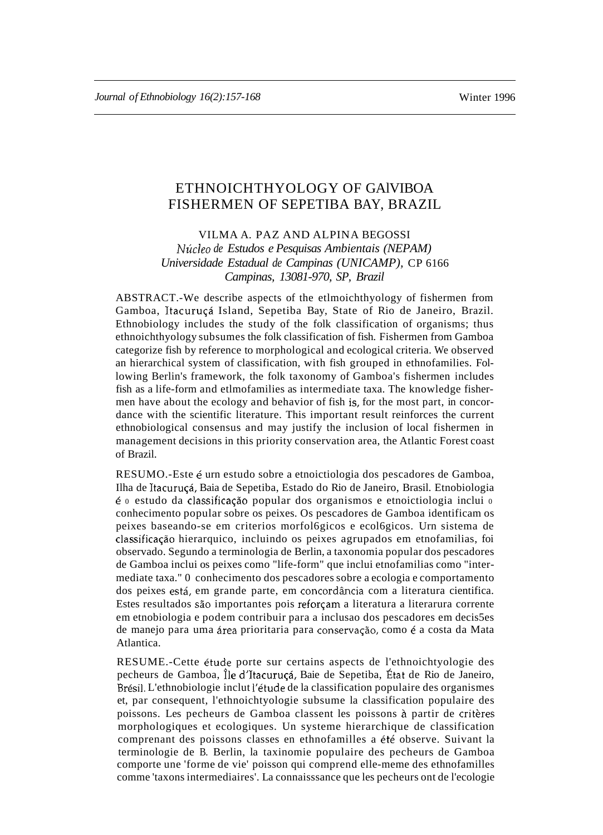# ETHNOICHTHYOLOGY OF GAlVIBOA FISHERMEN OF SEPETIBA BAY, BRAZIL

VILMA A. PAZ AND ALPINA BEGOSSI *Nucleo de Estudos e Pesquisas Ambientais (NEPAM) Universidade Estadual de Campinas (UNICAMP),* CP 6166 *Campinas, 13081-970, SP, Brazil*

ABSTRACT.-We describe aspects of the etlmoichthyology of fishermen from Gamboa, Itacuruçá Island, Sepetiba Bay, State of Rio de Janeiro, Brazil. Ethnobiology includes the study of the folk classification of organisms; thus ethnoichthyology subsumes the folk classification of fish. Fishermen from Gamboa categorize fish by reference to morphological and ecological criteria. We observed an hierarchical system of classification, with fish grouped in ethnofamilies. Following Berlin's framework, the folk taxonomy of Gamboa's fishermen includes fish as a life-form and etlmofamilies as intermediate taxa. The knowledge fishermen have about the ecology and behavior of fish is, for the most part, in concordance with the scientific literature. This important result reinforces the current ethnobiological consensus and may justify the inclusion of local fishermen in management decisions in this priority conservation area, the Atlantic Forest coast of Brazil.

RESUMO.-Este é urn estudo sobre a etnoictiologia dos pescadores de Gamboa, Ilha de Itacuruçá, Baia de Sepetiba, Estado do Rio de Janeiro, Brasil. Etnobiologia e <sup>0</sup> estudo da classificac;ao popular dos organismos e etnoictiologia inclui <sup>0</sup> conhecimento popular sobre os peixes. Os pescadores de Gamboa identificam os peixes baseando-se em criterios morfol6gicos e ecol6gicos. Urn sistema de classificação hierarquico, incluindo os peixes agrupados em etnofamilias, foi observado. Segundo a terminologia de Berlin, a taxonomia popular dos pescadores de Gamboa inclui os peixes como "life-form" que inclui etnofamilias como "intermediate taxa." 0 conhecimento dos pescadores sobre a ecologia e comportamento dos peixes está, em grande parte, em concordância com a literatura científica. Estes resultados são importantes pois reforçam a literatura a literarura corrente em etnobiologia e podem contribuir para a inclusao dos pescadores em decis5es de manejo para uma área prioritaria para conservação, como é a costa da Mata Atlantica.

RESUME.-Cette étude porte sur certains aspects de l'ethnoichtyologie des pecheurs de Gamboa, Île d'Itacuruçá, Baie de Sepetiba, État de Rio de Janeiro, Brésil. L'ethnobiologie inclut l'étude de la classification populaire des organismes et, par consequent, l'ethnoichtyologie subsume la classification populaire des poissons. Les pecheurs de Gamboa classent les poissons à partir de critères morphologiques et ecologiques. Un systeme hierarchique de classification comprenant des poissons classes en ethnofamilles a été observe. Suivant la terminologie de B. Berlin, la taxinomie populaire des pecheurs de Gamboa comporte une 'forme de vie' poisson qui comprend elle-meme des ethnofamilles comme 'taxons intermediaires'. La connaisssance que les pecheurs ont de l'ecologie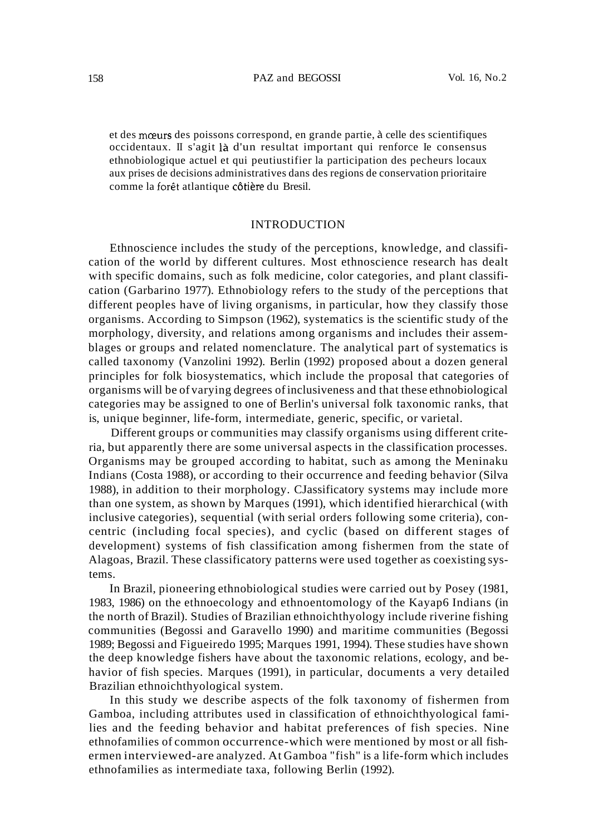et des mœurs des poissons correspond, en grande partie, à celle des scientifiques occidentaux. II s'agit la d'un resultat important qui renforce Ie consensus ethnobiologique actuel et qui peutiustifier la participation des pecheurs locaux aux prises de decisions administratives dans des regions de conservation prioritaire comme la forêt atlantique côtière du Bresil.

### INTRODUCTION

Ethnoscience includes the study of the perceptions, knowledge, and classification of the world by different cultures. Most ethnoscience research has dealt with specific domains, such as folk medicine, color categories, and plant classification (Garbarino 1977). Ethnobiology refers to the study of the perceptions that different peoples have of living organisms, in particular, how they classify those organisms. According to Simpson (1962), systematics is the scientific study of the morphology, diversity, and relations among organisms and includes their assemblages or groups and related nomenclature. The analytical part of systematics is called taxonomy (Vanzolini 1992). Berlin (1992) proposed about a dozen general principles for folk biosystematics, which include the proposal that categories of organisms will be of varying degrees ofinclusiveness and that these ethnobiological categories may be assigned to one of Berlin's universal folk taxonomic ranks, that is, unique beginner, life-form, intermediate, generic, specific, or varietal.

Different groups or communities may classify organisms using different criteria, but apparently there are some universal aspects in the classification processes. Organisms may be grouped according to habitat, such as among the Meninaku Indians (Costa 1988), or according to their occurrence and feeding behavior (Silva 1988), in addition to their morphology. CJassificatory systems may include more than one system, as shown by Marques (1991), which identified hierarchical (with inclusive categories), sequential (with serial orders following some criteria), concentric (including focal species), and cyclic (based on different stages of development) systems of fish classification among fishermen from the state of Alagoas, Brazil. These classificatory patterns were used together as coexisting systems.

In Brazil, pioneering ethnobiological studies were carried out by Posey (1981, 1983, 1986) on the ethnoecology and ethnoentomology of the Kayap6 Indians (in the north of Brazil). Studies of Brazilian ethnoichthyology include riverine fishing communities (Begossi and Garavello 1990) and maritime communities (Begossi 1989; Begossi and Figueiredo 1995; Marques 1991, 1994). These studies have shown the deep knowledge fishers have about the taxonomic relations, ecology, and behavior of fish species. Marques (1991), in particular, documents a very detailed Brazilian ethnoichthyological system.

In this study we describe aspects of the folk taxonomy of fishermen from Gamboa, including attributes used in classification of ethnoichthyological families and the feeding behavior and habitat preferences of fish species. Nine ethnofamilies of common occurrence-which were mentioned by most or all fishermen interviewed-are analyzed. At Gamboa "fish" is a life-form which includes ethnofamilies as intermediate taxa, following Berlin (1992).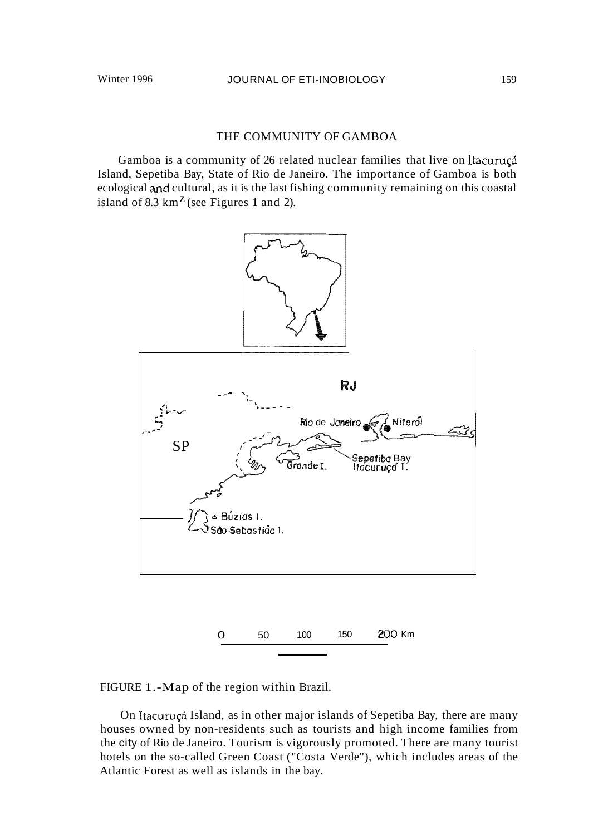## THE COMMUNITY OF GAMBOA

Gamboa is a community of 26 related nuclear families that live on Itacuruçá Island, Sepetiba Bay, State of Rio de Janeiro. The importance of Gamboa is both ecological and cultural, as it is the last fishing community remaining on this coastal island of 8.3  $km^Z$  (see Figures 1 and 2).



FIGURE 1.-Map of the region within Brazil.

On Itacuruçá Island, as in other major islands of Sepetiba Bay, there are many houses owned by non-residents such as tourists and high income families from the city of Rio de Janeiro. Tourism is vigorously promoted. There are many tourist hotels on the so-called Green Coast ("Costa Verde"), which includes areas of the Atlantic Forest as well as islands in the bay.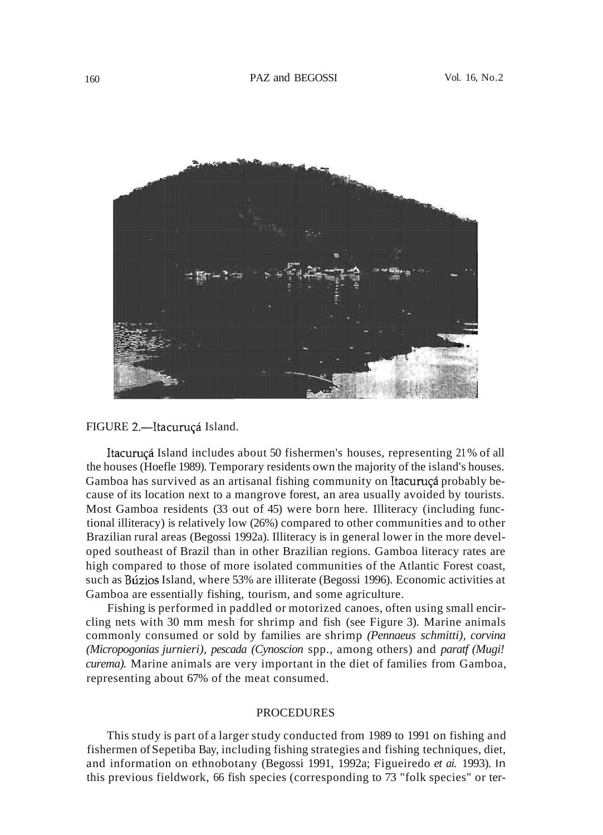

## FIGURE 2.-Itacuruçá Island.

Itacuruçá Island includes about 50 fishermen's houses, representing 21% of all the houses (Hoefle 1989). Temporary residents own the majority of the island's houses. Gamboa has survived as an artisanal fishing community on Itacuruca probably because of its location next to a mangrove forest, an area usually avoided by tourists. Most Gamboa residents (33 out of 45) were born here. Illiteracy (including functional illiteracy) is relatively low (26%) compared to other communities and to other Brazilian rural areas (Begossi 1992a). Illiteracy is in general lower in the more developed southeast of Brazil than in other Brazilian regions. Gamboa literacy rates are high compared to those of more isolated communities of the Atlantic Forest coast, such as Búzios Island, where 53% are illiterate (Begossi 1996). Economic activities at Gamboa are essentially fishing, tourism, and some agriculture.

Fishing is performed in paddled or motorized canoes, often using small encircling nets with 30 mm mesh for shrimp and fish (see Figure 3). Marine animals commonly consumed or sold by families are shrimp *(Pennaeus schmitti), corvina (Micropogonias jurnieri), pescada (Cynoscion* spp., among others) and *paratf (Mugi! curema).* Marine animals are very important in the diet of families from Gamboa, representing about 67% of the meat consumed.

#### PROCEDURES

This study is part of a larger study conducted from 1989 to 1991 on fishing and fishermen ofSepetiba Bay, including fishing strategies and fishing techniques, diet, and information on ethnobotany (Begossi 1991, 1992a; Figueiredo *et ai.* 1993). In this previous fieldwork, 66 fish species (corresponding to 73 "folk species" or ter-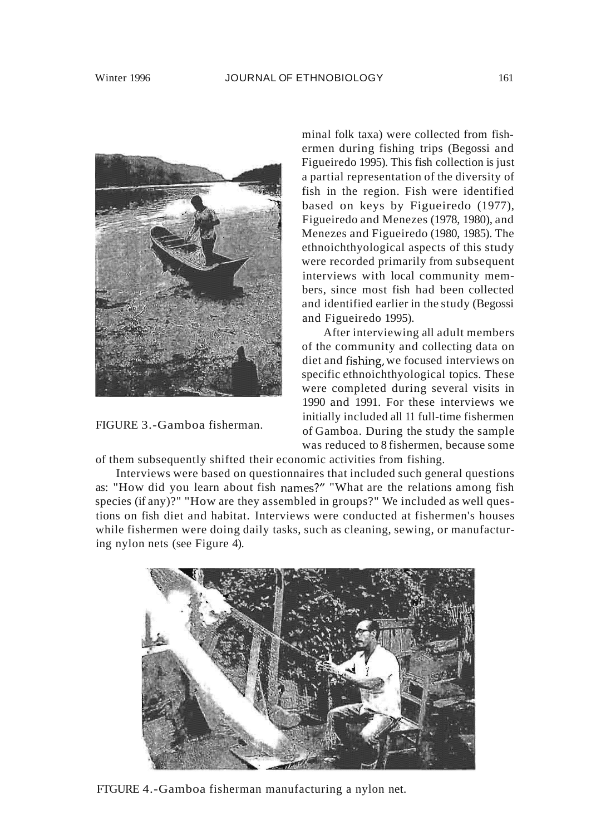

FIGURE 3.-Gamboa fisherman.

minal folk taxa) were collected from fishermen during fishing trips (Begossi and Figueiredo 1995). This fish collection is just a partial representation of the diversity of fish in the region. Fish were identified based on keys by Figueiredo (1977), Figueiredo and Menezes (1978, 1980), and Menezes and Figueiredo (1980, 1985). The ethnoichthyological aspects of this study were recorded primarily from subsequent interviews with local community members, since most fish had been collected and identified earlier in the study (Begossi and Figueiredo 1995).

After interviewing all adult members of the community and collecting data on diet and fishing, we focused interviews on specific ethnoichthyological topics. These were completed during several visits in 1990 and 1991. For these interviews we initially included all 11 full-time fishermen of Gamboa. During the study the sample was reduced to 8 fishermen, because some

of them subsequently shifted their economic activities from fishing.

Interviews were based on questionnaires that included such general questions as: "How did you learn about fish names?" "What are the relations among fish species (if any)?" "How are they assembled in groups?" We included as well questions on fish diet and habitat. Interviews were conducted at fishermen's houses while fishermen were doing daily tasks, such as cleaning, sewing, or manufacturing nylon nets (see Figure 4).



FTGURE 4.-Gamboa fisherman manufacturing a nylon net.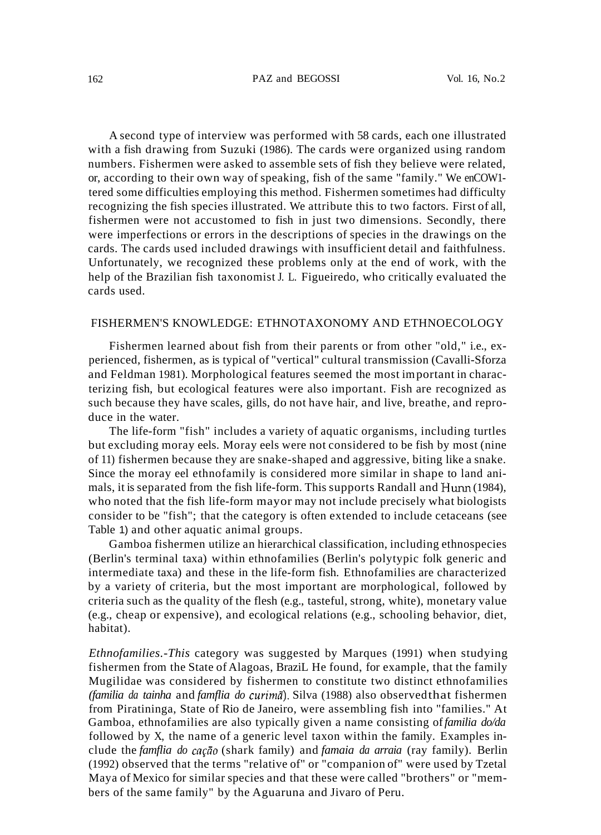A second type of interview was performed with 58 cards, each one illustrated with a fish drawing from Suzuki (1986). The cards were organized using random numbers. Fishermen were asked to assemble sets of fish they believe were related, or, according to their own way of speaking, fish of the same "family." We enCOW1 tered some difficulties employing this method. Fishermen sometimes had difficulty recognizing the fish species illustrated. We attribute this to two factors. First of all, fishermen were not accustomed to fish in just two dimensions. Secondly, there were imperfections or errors in the descriptions of species in the drawings on the cards. The cards used included drawings with insufficient detail and faithfulness. Unfortunately, we recognized these problems only at the end of work, with the help of the Brazilian fish taxonomist J. L. Figueiredo, who critically evaluated the cards used.

#### FISHERMEN'S KNOWLEDGE: ETHNOTAXONOMY AND ETHNOECOLOGY

Fishermen learned about fish from their parents or from other "old," i.e., experienced, fishermen, as is typical of "vertical" cultural transmission (Cavalli-Sforza and Feldman 1981). Morphological features seemed the most important in characterizing fish, but ecological features were also important. Fish are recognized as such because they have scales, gills, do not have hair, and live, breathe, and reproduce in the water.

The life-form "fish" includes a variety of aquatic organisms, including turtles but excluding moray eels. Moray eels were not considered to be fish by most (nine of 11) fishermen because they are snake-shaped and aggressive, biting like a snake. Since the moray eel ethnofamily is considered more similar in shape to land animals, it is separated from the fish life-form. This supports Randall and Hwm (1984), who noted that the fish life-form mayor may not include precisely what biologists consider to be "fish"; that the category is often extended to include cetaceans (see Table 1) and other aquatic animal groups.

Gamboa fishermen utilize an hierarchical classification, including ethnospecies (Berlin's terminal taxa) within ethnofamilies (Berlin's polytypic folk generic and intermediate taxa) and these in the life-form fish. Ethnofamilies are characterized by a variety of criteria, but the most important are morphological, followed by criteria such as the quality of the flesh (e.g., tasteful, strong, white), monetary value (e.g., cheap or expensive), and ecological relations (e.g., schooling behavior, diet, habitat).

*Ethnofamilies.-This* category was suggested by Marques (1991) when studying fishermen from the State of Alagoas, BraziL He found, for example, that the family Mugilidae was considered by fishermen to constitute two distinct ethnofamilies *(familia da tainha* and *famflia do curimii).* Silva (1988) also observedthat fishermen from Piratininga, State of Rio de Janeiro, were assembling fish into "families." At Gamboa, ethnofamilies are also typically given a name consisting of*familia do/da* followed by X, the name of a generic level taxon within the family. Examples include the *famflia do carfio* (shark family) and *famaia da arraia* (ray family). Berlin (1992) observed that the terms "relative of" or "companion of" were used by Tzetal Maya of Mexico for similar species and that these were called "brothers" or "members of the same family" by the Aguaruna and Jivaro of Peru.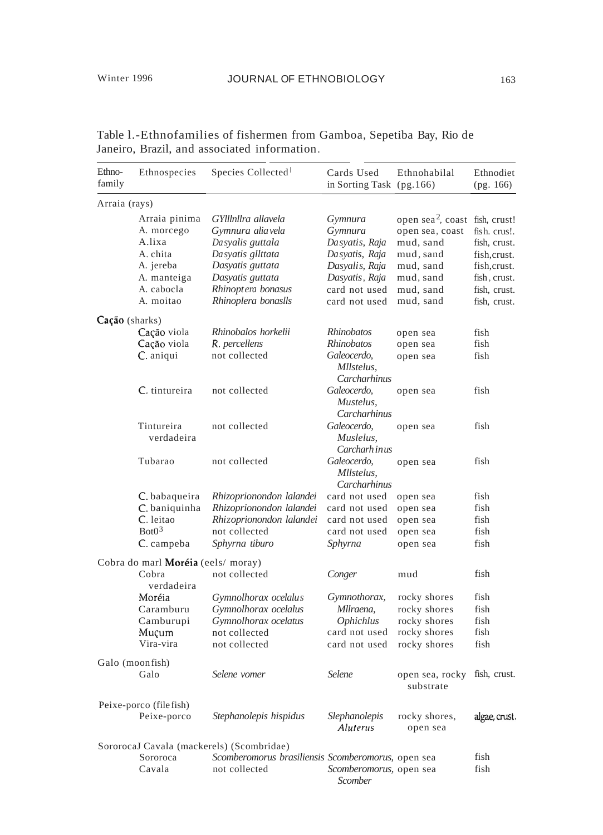| Ethno-<br>family | Ethnospecies                              | Species Collected <sup>1</sup>                               | Cards Used<br>in Sorting Task (pg.166)     | Ethnohabilal                                                               | Ethnodiet<br>(pg. 166)       |
|------------------|-------------------------------------------|--------------------------------------------------------------|--------------------------------------------|----------------------------------------------------------------------------|------------------------------|
| Arraia (rays)    |                                           |                                                              |                                            |                                                                            |                              |
|                  | Arraia pinima<br>A. morcego<br>A.lixa     | GYlllnllra allavela<br>Gymnura alia vela<br>Dasyalis guttala | Gymnura<br>Gymnura<br>Dasyatis, Raja       | open sea <sup>2</sup> , coast fish, crust!<br>open sea, coast<br>mud, sand | fish. crus!.<br>fish, crust. |
|                  | A. chita<br>A. jereba                     | Dasyatis gllttata<br>Dasyatis guttata                        | Dasyatis, Raja<br>Dasyalis, Raja           | mud, sand<br>mud, sand                                                     | fish, crust.<br>fish, crust. |
|                  | A. manteiga<br>A. cabocla<br>A. moitao    | Dasyatis guttata<br>Rhinoptera bonasus                       | Dasyatis, Raja<br>card not used            | mud, sand<br>mud, sand                                                     | fish, crust.<br>fish, crust. |
|                  |                                           | Rhinoplera bonaslls                                          | card not used                              | mud, sand                                                                  | fish, crust.                 |
| $Cação$ (sharks) |                                           | Rhinobalos horkelii                                          | Rhinobatos                                 |                                                                            |                              |
|                  | Cação viola<br>Cação viola                | R. percellens                                                | Rhinobatos                                 | open sea<br>open sea                                                       | fish<br>fish                 |
|                  | C. aniqui                                 | not collected                                                | Galeocerdo,<br>Mllstelus,<br>Carcharhinus  | open sea                                                                   | fish                         |
|                  | C. tintureira                             | not collected                                                | Galeocerdo,<br>Mustelus.<br>Carcharhinus   | open sea                                                                   | fish                         |
|                  | Tintureira<br>verdadeira                  | not collected                                                | Galeocerdo.<br>Muslelus.<br>Carcharh in us | open sea                                                                   | fish                         |
|                  | Tubarao                                   | not collected                                                | Galeocerdo,<br>Mllstelus,<br>Carcharhinus  | open sea                                                                   | fish                         |
|                  | C. babaqueira                             | Rhizoprionondon lalandei                                     | card not used                              | open sea                                                                   | fish                         |
|                  | C. baniquinha                             | Rhizoprionondon lalandei                                     | card not used                              | open sea                                                                   | fish                         |
|                  | C. leitao                                 | Rhizoprionondon lalandei                                     | card not used                              | open sea                                                                   | fish                         |
|                  | Bot0 <sup>3</sup>                         | not collected                                                | card not used                              | open sea                                                                   | fish                         |
|                  | C. campeba                                | Sphyrna tiburo                                               | Sphyrna                                    | open sea                                                                   | fish                         |
|                  | Cobra do marl <b>Moréia</b> (eels/ moray) |                                                              |                                            |                                                                            |                              |
|                  | Cobra<br>verdadeira                       | not collected                                                | Conger                                     | mud                                                                        | fish                         |
|                  | Moréia                                    | Gymnolhorax ocelalus                                         | Gymnothorax,                               | rocky shores                                                               | fish                         |
|                  | Caramburu                                 | Gymnolhorax ocelalus                                         | Mllraena,                                  | rocky shores                                                               | fish                         |
|                  | Camburupi                                 | Gymnolhorax ocelatus                                         | <i><b>Ophichlus</b></i>                    | rocky shores                                                               | fish                         |
|                  | Muçum                                     | not collected                                                | card not used                              | rocky shores                                                               | fish                         |
|                  | Vira-vira                                 | not collected                                                | card not used                              | rocky shores                                                               | fish                         |
|                  | Galo (moonfish)<br>Galo                   | Selene vomer                                                 | Selene                                     | open sea, rocky<br>substrate                                               | fish, crust.                 |
|                  | Peixe-porco (filefish)                    |                                                              |                                            |                                                                            |                              |
|                  | Peixe-porco                               | Stephanolepis hispidus                                       | Slephanolepis<br>Aluterus                  | rocky shores,<br>open sea                                                  | algae, crust.                |
|                  |                                           | SororocaJ Cavala (mackerels) (Scombridae)                    |                                            |                                                                            |                              |
|                  | Sororoca                                  | Scomberomorus brasiliensis Scomberomorus, open sea           |                                            |                                                                            | fish                         |
|                  | Cavala                                    | not collected                                                | Scomberomorus, open sea<br>Scomber         |                                                                            | fish                         |

Table l.-Ethnofamilies of fishermen from Gamboa, Sepetiba Bay, Rio de Janeiro, Brazil, and associated information.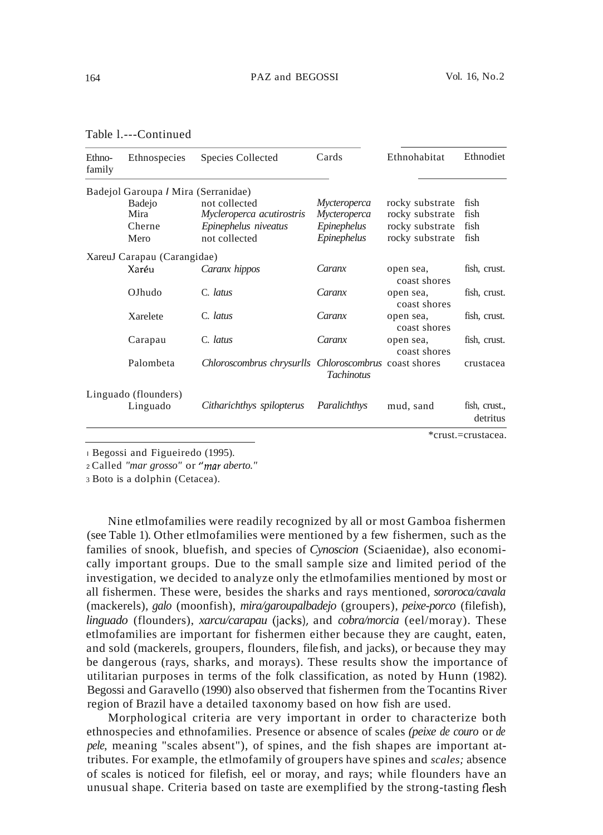| Ethno-<br>family | Ethnospecies                        | Species Collected                                     | Cards               | Ethnohabitat              | Ethnodiet                 |
|------------------|-------------------------------------|-------------------------------------------------------|---------------------|---------------------------|---------------------------|
|                  | Badejol Garoupa / Mira (Serranidae) |                                                       |                     |                           |                           |
|                  | <b>Badejo</b>                       | not collected                                         | <i>Mycteroperca</i> | rocky substrate           | fish                      |
|                  | Mira                                | Mycleroperca acutirostris                             | Mycteroperca        | rocky substrate           | fish                      |
|                  | Cherne                              | Epinephelus niveatus                                  | Epinephelus         | rocky substrate           | fish                      |
|                  | Mero                                | not collected                                         | Epinephelus         | rocky substrate           | fish                      |
|                  | XareuJ Carapau (Carangidae)         |                                                       |                     |                           |                           |
|                  | Xaréu                               | Caranx hippos                                         | Caranx              | open sea,<br>coast shores | fish, crust.              |
|                  | OJhudo                              | C. latus                                              | Caranx              | open sea,<br>coast shores | fish, crust.              |
|                  | Xarelete                            | C. latus                                              | Caranx              | open sea,<br>coast shores | fish, crust.              |
|                  | Carapau                             | C. latus                                              | Caranx              | open sea,<br>coast shores | fish, crust.              |
|                  | Palombeta                           | Chloroscombrus chrysurlls Chloroscombrus coast shores | <b>Tachinotus</b>   |                           | crustacea                 |
|                  | Linguado (flounders)                |                                                       |                     |                           |                           |
|                  | Linguado                            | Citharichthys spilopterus                             | Paralichthys        | mud, sand                 | fish, crust.,<br>detritus |
|                  |                                     |                                                       |                     |                           | *crust.=crustacea.        |

Table l.---Continued

<sup>I</sup> Begossi and Figueiredo (1995).

<sup>2</sup> Called *"mar grosso"* or *"mar aberto."*

<sup>3</sup> Boto is a dolphin (Cetacea).

Nine etlmofamilies were readily recognized by all or most Gamboa fishermen (see Table 1). Other etlmofamilies were mentioned by a few fishermen, such as the families of snook, bluefish, and species of *Cynoscion* (Sciaenidae), also economically important groups. Due to the small sample size and limited period of the investigation, we decided to analyze only the etlmofamilies mentioned by most or all fishermen. These were, besides the sharks and rays mentioned, *sororoca/cavala* (mackerels), *galo* (moonfish), *mira/garoupalbadejo* (groupers), *peixe-porco* (filefish), *linguado* (flounders), *xarcu/carapau* (jacks), and *cobra/morcia* (eel/moray). These etlmofamilies are important for fishermen either because they are caught, eaten, and sold (mackerels, groupers, flounders, filefish, and jacks), or because they may be dangerous (rays, sharks, and morays). These results show the importance of utilitarian purposes in terms of the folk classification, as noted by Hunn (1982). Begossi and Garavello (1990) also observed that fishermen from the Tocantins River region of Brazil have a detailed taxonomy based on how fish are used.

Morphological criteria are very important in order to characterize both ethnospecies and ethnofamilies. Presence or absence of scales *(peixe de couro* or *de pele,* meaning "scales absent"), of spines, and the fish shapes are important attributes. For example, the etlmofamily of groupers have spines and *scales;* absence of scales is noticed for filefish, eel or moray, and rays; while flounders have an unusual shape. Criteria based on taste are exemplified by the strong-tasting flesh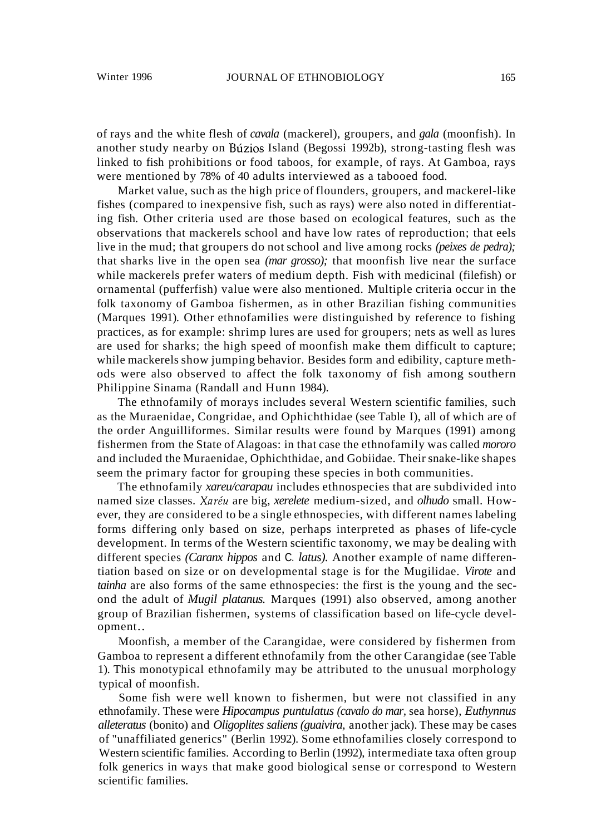of rays and the white flesh of *cavala* (mackerel), groupers, and *gala* (moonfish). In another study nearby on Búzios Island (Begossi 1992b), strong-tasting flesh was linked to fish prohibitions or food taboos, for example, of rays. At Gamboa, rays were mentioned by 78% of 40 adults interviewed as a tabooed food.

Market value, such as the high price of flounders, groupers, and mackerel-like fishes (compared to inexpensive fish, such as rays) were also noted in differentiating fish. Other criteria used are those based on ecological features, such as the observations that mackerels school and have low rates of reproduction; that eels live in the mud; that groupers do not school and live among rocks *(peixes de pedra);* that sharks live in the open sea *(mar grosso);* that moonfish live near the surface while mackerels prefer waters of medium depth. Fish with medicinal (filefish) or ornamental (pufferfish) value were also mentioned. Multiple criteria occur in the folk taxonomy of Gamboa fishermen, as in other Brazilian fishing communities (Marques 1991). Other ethnofamilies were distinguished by reference to fishing practices, as for example: shrimp lures are used for groupers; nets as well as lures are used for sharks; the high speed of moonfish make them difficult to capture; while mackerels show jumping behavior. Besides form and edibility, capture methods were also observed to affect the folk taxonomy of fish among southern Philippine Sinama (Randall and Hunn 1984).

The ethnofamily of morays includes several Western scientific families, such as the Muraenidae, Congridae, and Ophichthidae (see Table I), all of which are of the order Anguilliformes. Similar results were found by Marques (1991) among fishermen from the State of Alagoas: in that case the ethnofamily was called *mororo* and included the Muraenidae, Ophichthidae, and Gobiidae. Their snake-like shapes seem the primary factor for grouping these species in both communities.

The ethnofamily *xareu/carapau* includes ethnospecies that are subdivided into named size classes. *Xareu* are big, *xerelete* medium-sized, and *olhudo* small. However, they are considered to be a single ethnospecies, with different names labeling forms differing only based on size, perhaps interpreted as phases of life-cycle development. In terms of the Western scientific taxonomy, we may be dealing with different species *(Caranx hippos* and C. *latus).* Another example of name differentiation based on size or on developmental stage is for the Mugilidae. *Virote* and *tainha* are also forms of the same ethnospecies: the first is the young and the second the adult of *Mugil platanus.* Marques (1991) also observed, among another group of Brazilian fishermen, systems of classification based on life-cycle development..

Moonfish, a member of the Carangidae, were considered by fishermen from Gamboa to represent a different ethnofamily from the other Carangidae (see Table 1). This monotypical ethnofamily may be attributed to the unusual morphology typical of moonfish.

Some fish were well known to fishermen, but were not classified in any ethnofamily. These were *Hipocampus puntulatus (cavalo do mar,* sea horse), *Euthynnus alleteratus* (bonito) and *Oligoplites saliens (guaivira,* another jack). These may be cases of "unaffiliated generics" (Berlin 1992). Some ethnofamilies closely correspond to Western scientific families. According to Berlin (1992), intermediate taxa often group folk generics in ways that make good biological sense or correspond to Western scientific families.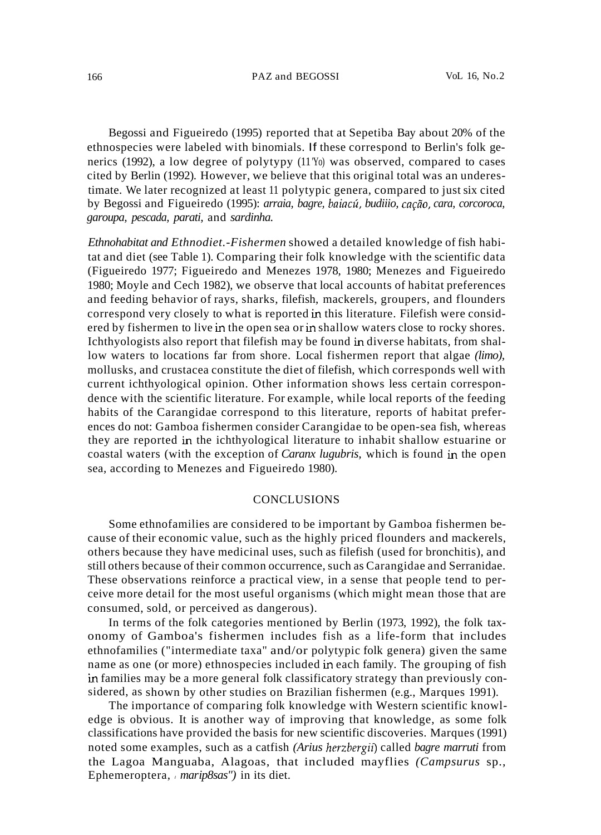#### 166 PAZ and BEGOSSI VoL 16, No.2

Begossi and Figueiredo (1995) reported that at Sepetiba Bay about 20% of the ethnospecies were labeled with binomials. If these correspond to Berlin's folk generics (1992), a low degree of polytypy (11'Yo) was observed, compared to cases cited by Berlin (1992). However, we believe that this original total was an underestimate. We later recognized at least 11 polytypic genera, compared to just six cited by Begossi and Figueiredo (1995): *arraia, bagre, baiacu, budiiio, car;iio, cara, corcoroca, garoupa, pescada, parati,* and *sardinha.*

*Ethnohabitat and Ethnodiet.-Fishermen* showed a detailed knowledge of fish habitat and diet (see Table 1). Comparing their folk knowledge with the scientific data (Figueiredo 1977; Figueiredo and Menezes 1978, 1980; Menezes and Figueiredo 1980; Moyle and Cech 1982), we observe that local accounts of habitat preferences and feeding behavior of rays, sharks, filefish, mackerels, groupers, and flounders correspond very closely to what is reported in this literature. Filefish were considered by fishermen to live in the open sea or in shallow waters close to rocky shores. Ichthyologists also report that filefish may be found in diverse habitats, from shallow waters to locations far from shore. Local fishermen report that algae *(limo),* mollusks, and crustacea constitute the diet of filefish, which corresponds well with current ichthyological opinion. Other information shows less certain correspondence with the scientific literature. For example, while local reports of the feeding habits of the Carangidae correspond to this literature, reports of habitat preferences do not: Gamboa fishermen consider Carangidae to be open-sea fish, whereas they are reported in the ichthyological literature to inhabit shallow estuarine or coastal waters (with the exception of *Caranx lugubris,* which is found in the open sea, according to Menezes and Figueiredo 1980).

## **CONCLUSIONS**

Some ethnofamilies are considered to be important by Gamboa fishermen because of their economic value, such as the highly priced flounders and mackerels, others because they have medicinal uses, such as filefish (used for bronchitis), and still others because of their common occurrence, such as Carangidae and Serranidae. These observations reinforce a practical view, in a sense that people tend to perceive more detail for the most useful organisms (which might mean those that are consumed, sold, or perceived as dangerous).

In terms of the folk categories mentioned by Berlin (1973, 1992), the folk taxonomy of Gamboa's fishermen includes fish as a life-form that includes ethnofamilies ("intermediate taxa" and/or polytypic folk genera) given the same name as one (or more) ethnospecies included in each family. The grouping of fish in families may be a more general folk classificatory strategy than previously considered, as shown by other studies on Brazilian fishermen (e.g., Marques 1991).

The importance of comparing folk knowledge with Western scientific knowledge is obvious. It is another way of improving that knowledge, as some folk classifications have provided the basis for new scientific discoveries. Marques (1991) noted some examples, such as a catfish *(Arius herzbergif)* called *bagre marruti* from the Lagoa Manguaba, Alagoas, that included mayflies *(Campsurus* sp., Ephemeroptera, *I marip8sas"*) in its diet.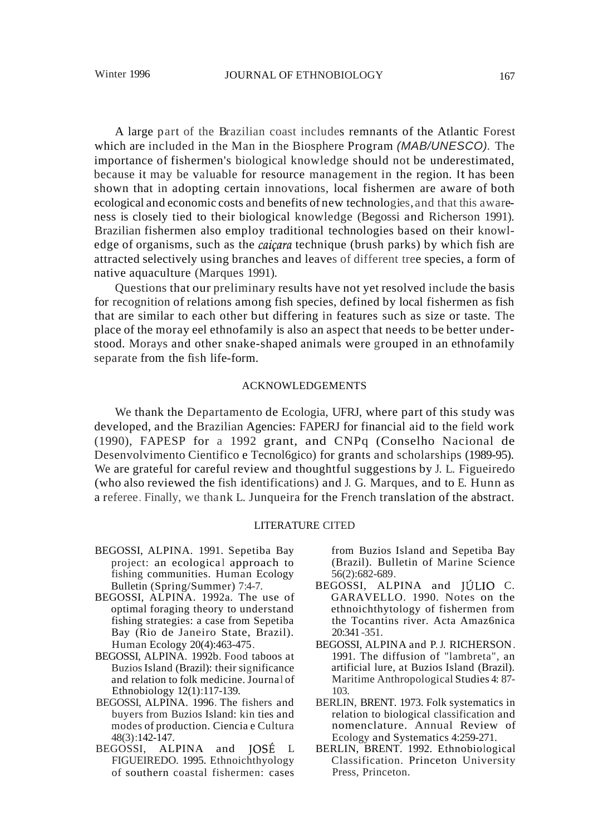A large part of the Brazilian coast includes remnants of the Atlantic Forest which are included in the Man in the Biosphere Program (MAB/UNESCO). The importance of fishermen's biological knowledge should not be underestimated, because it may be valuable for resource management in the region. It has been shown that in adopting certain innovations, local fishermen are aware of both ecological and economic costs and benefits of new technologies, and that this awareness is closely tied to their biological knowledge (Begossi and Richerson 1991). Brazilian fishermen also employ traditional technologies based on their knowledge of organisms, such as the *caiçara* technique (brush parks) by which fish are attracted selectively using branches and leaves of different tree species, a form of native aquaculture (Marques 1991).

Questions that our preliminary results have not yet resolved include the basis for recognition of relations among fish species, defined by local fishermen as fish that are similar to each other but differing in features such as size or taste. The place of the moray eel ethnofamily is also an aspect that needs to be better understood. Morays and other snake-shaped animals were grouped in an ethnofamily separate from the fish life-form.

### ACKNOWLEDGEMENTS

We thank the Departamento de Ecologia, UFRJ, where part of this study was developed, and the Brazilian Agencies: FAPERJ for financial aid to the field work (1990), FAPESP for a 1992 grant, and CNPq (Conselho Nacional de Desenvolvimento Cientifico e Tecnol6gico) for grants and scholarships (1989-95). We are grateful for careful review and thoughtful suggestions by J. L. Figueiredo (who also reviewed the fish identifications) and J. G. Marques, and to E. Hunn as a referee. Finally, we thank L. Junqueira for the French translation of the abstract.

#### LITERATURE CITED

- BEGOSSI, ALPINA. 1991. Sepetiba Bay project: an ecological approach to fishing communities. Human Ecology Bulletin (Spring/Summer) 7:4-7.
- BEGOSSI, ALPINA. 1992a. The use of optimal foraging theory to understand fishing strategies: a case from Sepetiba Bay (Rio de Janeiro State, Brazil). Human Ecology 20(4):463-475.
- BEGOSSI, ALPINA. 1992b. Food taboos at BuziosIsland (Brazil): their significance and relation to folk medicine. Journal of Ethnobiology 12(1):117-139.
- BEGOSSI, ALPINA. 1996. The fishers and buyers from Buzios Island: kin ties and modes of production. Ciencia e Cultura 48(3):142-147.
- BEGOSSI, ALPINA and JOSE L FIGUEIREDO. 1995. Ethnoichthyology of southern coastal fishermen: cases

from Buzios Island and Sepetiba Bay (Brazil). Bulletin of Marine Science 56(2):682-689.

- BEGOSSI, ALPINA and JÚLIO C. GARAVELLO. 1990. Notes on the ethnoichthytology of fishermen from the Tocantins river. Acta Amaz6nica 20:341 -351.
- BEGOSSI, ALPINA and P.J. RICHERSON. 1991. The diffusion of "lambreta", an artificial lure, at Buzios Island (Brazil). Maritime Anthropological Studies 4: 87- 103.
- BERLIN, BRENT. 1973. Folk systematics in relation to biological classification and nomenclature. Annual Review of Ecology and Systematics 4:259-271.
- BERLIN, BRENT. 1992. Ethnobiological Classification. Princeton University Press, Princeton.